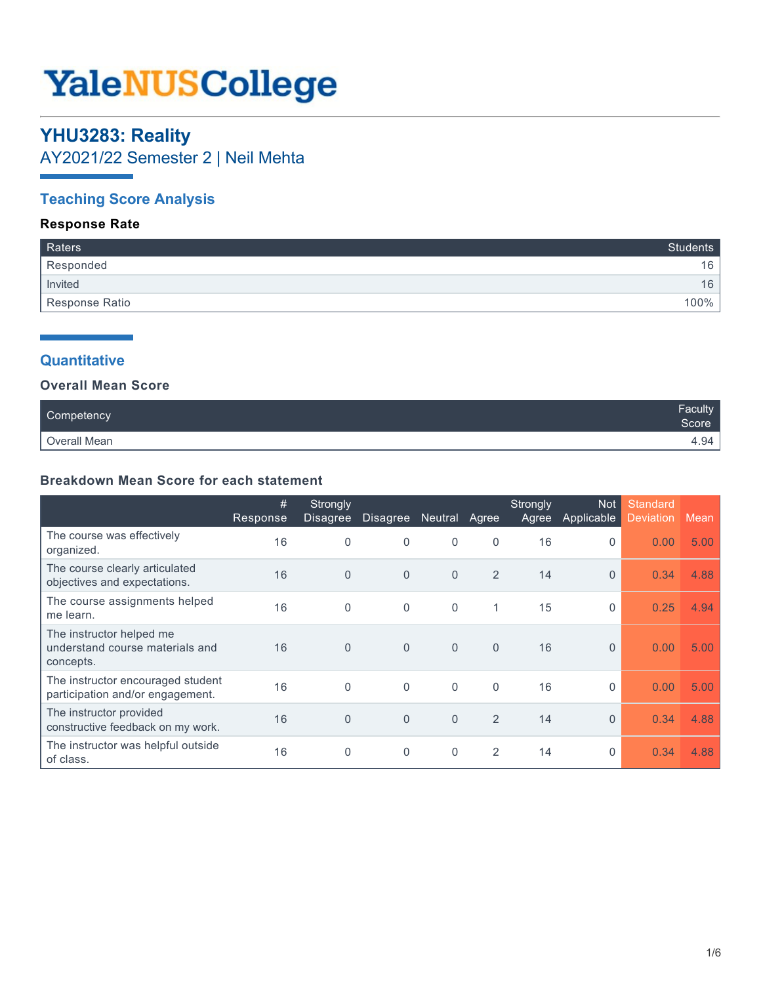# **YaleNUSCollege**

# **YHU3283: Reality**

AY2021/22 Semester 2 | Neil Mehta

# **Teaching Score Analysis**

# **Response Rate**

| Raters         | Students |
|----------------|----------|
| Responded      | 16       |
| Invited        | 16       |
| Response Ratio | 100%     |

# **Quantitative**

### **Overall Mean Score**

| Competency   | Faculty<br>Score |
|--------------|------------------|
| Overall Mean | 4.94,            |

## **Breakdown Mean Score for each statement**

|                                                                          | #<br>Response | Strongly<br><b>Disagree</b> | <b>Disagree</b> | <b>Neutral</b> | Agree          | Strongly<br>Agree | Not<br>Applicable | Standard<br><b>Deviation</b> | Mean |
|--------------------------------------------------------------------------|---------------|-----------------------------|-----------------|----------------|----------------|-------------------|-------------------|------------------------------|------|
| The course was effectively<br>organized.                                 | 16            | $\Omega$                    | $\mathbf 0$     | 0              | 0              | 16                | 0                 | 0.00                         | 5.00 |
| The course clearly articulated<br>objectives and expectations.           | 16            | $\Omega$                    | $\overline{0}$  | $\Omega$       | $\overline{2}$ | 14                | $\Omega$          | 0.34                         | 4.88 |
| The course assignments helped<br>me learn.                               | 16            | $\Omega$                    | $\mathbf 0$     | $\Omega$       | 1              | 15                | $\Omega$          | 0.25                         | 4.94 |
| The instructor helped me<br>understand course materials and<br>concepts. | 16            | $\Omega$                    | $\mathbf{0}$    | $\Omega$       | $\Omega$       | 16                | $\Omega$          | 0.00                         | 5.00 |
| The instructor encouraged student<br>participation and/or engagement.    | 16            | $\Omega$                    | $\Omega$        | $\Omega$       | $\Omega$       | 16                | $\Omega$          | 0.00                         | 5.00 |
| The instructor provided<br>constructive feedback on my work.             | 16            | $\Omega$                    | $\mathbf{0}$    | $\Omega$       | 2              | 14                | $\Omega$          | 0.34                         | 4.88 |
| The instructor was helpful outside<br>of class.                          | 16            | $\Omega$                    | $\Omega$        | 0              | 2              | 14                | $\Omega$          | 0.34                         | 4.88 |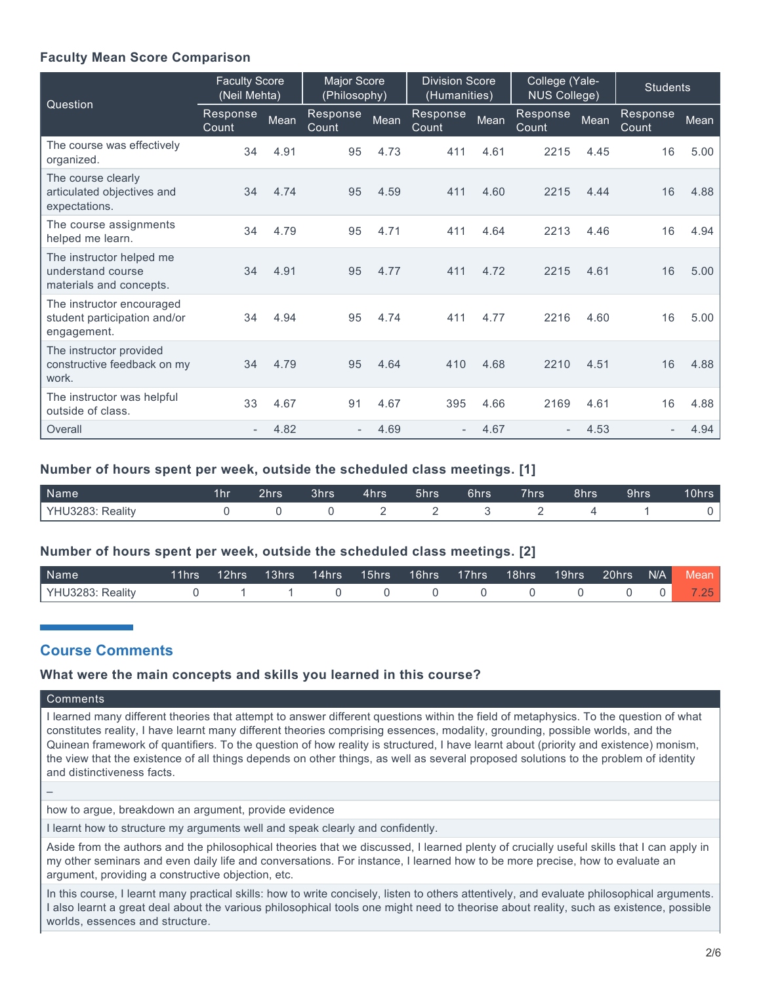## **Faculty Mean Score Comparison**

| Question                                                                 | <b>Faculty Score</b><br>(Neil Mehta) |      | Major Score<br>(Philosophy) |      | <b>Division Score</b><br>(Humanities) |      | College (Yale-<br><b>NUS College)</b> |      | <b>Students</b>   |      |
|--------------------------------------------------------------------------|--------------------------------------|------|-----------------------------|------|---------------------------------------|------|---------------------------------------|------|-------------------|------|
|                                                                          | Response<br>Count                    | Mean | Response<br>Count           | Mean | Response<br>Count                     | Mean | Response<br>Count                     | Mean | Response<br>Count | Mean |
| The course was effectively<br>organized.                                 | 34                                   | 4.91 | 95                          | 4.73 | 411                                   | 4.61 | 2215                                  | 4.45 | 16                | 5.00 |
| The course clearly<br>articulated objectives and<br>expectations.        | 34                                   | 4.74 | 95                          | 4.59 | 411                                   | 4.60 | 2215                                  | 4.44 | 16                | 4.88 |
| The course assignments<br>helped me learn.                               | 34                                   | 4.79 | 95                          | 4.71 | 411                                   | 4.64 | 2213                                  | 4.46 | 16                | 4.94 |
| The instructor helped me<br>understand course<br>materials and concepts. | 34                                   | 4.91 | 95                          | 4.77 | 411                                   | 4.72 | 2215                                  | 4.61 | 16                | 5.00 |
| The instructor encouraged<br>student participation and/or<br>engagement. | 34                                   | 4.94 | 95                          | 4.74 | 411                                   | 4.77 | 2216                                  | 4.60 | 16                | 5.00 |
| The instructor provided<br>constructive feedback on my<br>work.          | 34                                   | 4.79 | 95                          | 4.64 | 410                                   | 4.68 | 2210                                  | 4.51 | 16                | 4.88 |
| The instructor was helpful<br>outside of class.                          | 33                                   | 4.67 | 91                          | 4.67 | 395                                   | 4.66 | 2169                                  | 4.61 | 16                | 4.88 |
| Overall                                                                  | $\overline{\phantom{a}}$             | 4.82 |                             | 4.69 | $\overline{\phantom{a}}$              | 4.67 |                                       | 4.53 | $\overline{a}$    | 4.94 |

#### **Number of hours spent per week, outside the scheduled class meetings. [1]**

| Name             | 2hrs' | 3hrs | <b>4hrs</b> | 5hrs | 6hrs | 7hrs | 8hrs | 9hrs | 10hrs |
|------------------|-------|------|-------------|------|------|------|------|------|-------|
| YHU3283: Reality |       |      |             |      |      |      |      |      |       |

#### **Number of hours spent per week, outside the scheduled class meetings. [2]**

| <b>Name</b>      |  |  |  | 11hrs 12hrs 13hrs 14hrs 15hrs 16hrs 17hrs 18hrs 19hrs 20hrs N/A Mean |  |  |                 |
|------------------|--|--|--|----------------------------------------------------------------------|--|--|-----------------|
| YHU3283: Reality |  |  |  |                                                                      |  |  | 25 <sub>1</sub> |

# **Course Comments**

#### **What were the main concepts and skills you learned in this course?**

#### **Comments**

–

I learned many different theories that attempt to answer different questions within the field of metaphysics. To the question of what constitutes reality, I have learnt many different theories comprising essences, modality, grounding, possible worlds, and the Quinean framework of quantifiers. To the question of how reality is structured, I have learnt about (priority and existence) monism, the view that the existence of all things depends on other things, as well as several proposed solutions to the problem of identity and distinctiveness facts.

how to argue, breakdown an argument, provide evidence

I learnt how to structure my arguments well and speak clearly and confidently.

Aside from the authors and the philosophical theories that we discussed, I learned plenty of crucially useful skills that I can apply in my other seminars and even daily life and conversations. For instance, I learned how to be more precise, how to evaluate an argument, providing a constructive objection, etc.

In this course, I learnt many practical skills: how to write concisely, listen to others attentively, and evaluate philosophical arguments. I also learnt a great deal about the various philosophical tools one might need to theorise about reality, such as existence, possible worlds, essences and structure.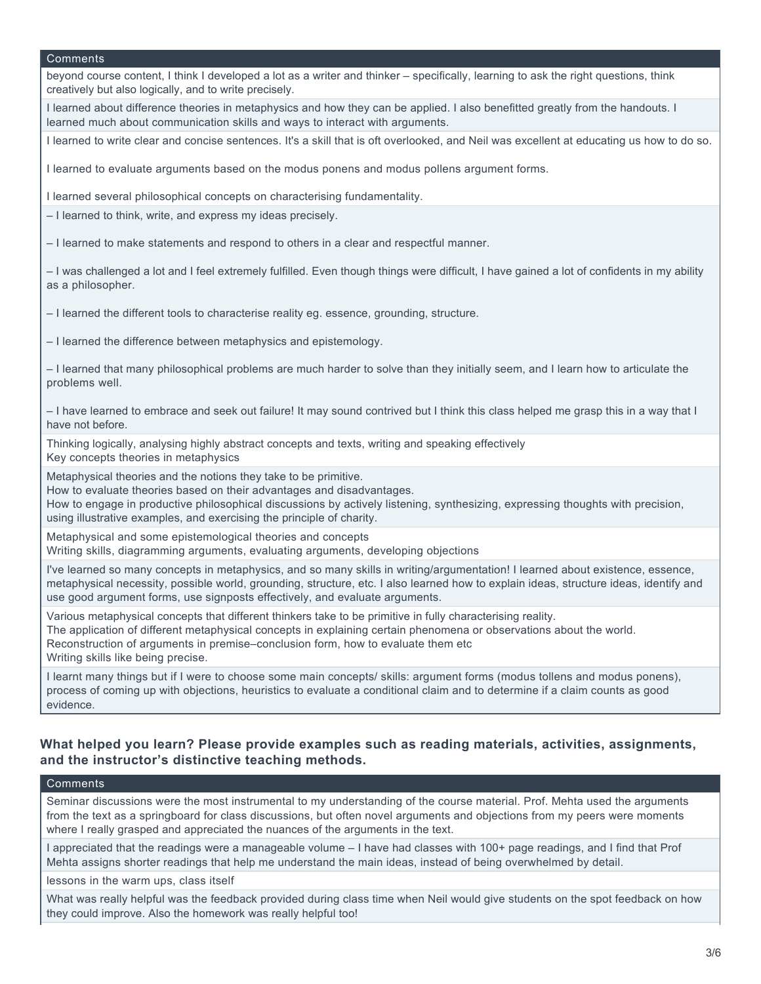beyond course content, I think I developed a lot as a writer and thinker – specifically, learning to ask the right questions, think creatively but also logically, and to write precisely.

I learned about difference theories in metaphysics and how they can be applied. I also benefitted greatly from the handouts. I learned much about communication skills and ways to interact with arguments.

I learned to write clear and concise sentences. It's a skill that is oft overlooked, and Neil was excellent at educating us how to do so.

I learned to evaluate arguments based on the modus ponens and modus pollens argument forms.

I learned several philosophical concepts on characterising fundamentality.

– I learned to think, write, and express my ideas precisely.

– I learned to make statements and respond to others in a clear and respectful manner.

– I was challenged a lot and I feel extremely fulfilled. Even though things were difficult, I have gained a lot of confidents in my ability as a philosopher.

– I learned the different tools to characterise reality eg. essence, grounding, structure.

– I learned the difference between metaphysics and epistemology.

– I learned that many philosophical problems are much harder to solve than they initially seem, and I learn how to articulate the problems well.

– I have learned to embrace and seek out failure! It may sound contrived but I think this class helped me grasp this in a way that I have not before.

Thinking logically, analysing highly abstract concepts and texts, writing and speaking effectively Key concepts theories in metaphysics

Metaphysical theories and the notions they take to be primitive.

How to evaluate theories based on their advantages and disadvantages.

How to engage in productive philosophical discussions by actively listening, synthesizing, expressing thoughts with precision, using illustrative examples, and exercising the principle of charity.

Metaphysical and some epistemological theories and concepts

Writing skills, diagramming arguments, evaluating arguments, developing objections

I've learned so many concepts in metaphysics, and so many skills in writing/argumentation! I learned about existence, essence, metaphysical necessity, possible world, grounding, structure, etc. I also learned how to explain ideas, structure ideas, identify and use good argument forms, use signposts effectively, and evaluate arguments.

Various metaphysical concepts that different thinkers take to be primitive in fully characterising reality. The application of different metaphysical concepts in explaining certain phenomena or observations about the world. Reconstruction of arguments in premise–conclusion form, how to evaluate them etc Writing skills like being precise.

I learnt many things but if I were to choose some main concepts/ skills: argument forms (modus tollens and modus ponens), process of coming up with objections, heuristics to evaluate a conditional claim and to determine if a claim counts as good evidence.

#### **What helped you learn? Please provide examples such as reading materials, activities, assignments, and the instructor's distinctive teaching methods.**

#### **Comments**

Seminar discussions were the most instrumental to my understanding of the course material. Prof. Mehta used the arguments from the text as a springboard for class discussions, but often novel arguments and objections from my peers were moments where I really grasped and appreciated the nuances of the arguments in the text.

I appreciated that the readings were a manageable volume – I have had classes with 100+ page readings, and I find that Prof Mehta assigns shorter readings that help me understand the main ideas, instead of being overwhelmed by detail.

lessons in the warm ups, class itself

What was really helpful was the feedback provided during class time when Neil would give students on the spot feedback on how they could improve. Also the homework was really helpful too!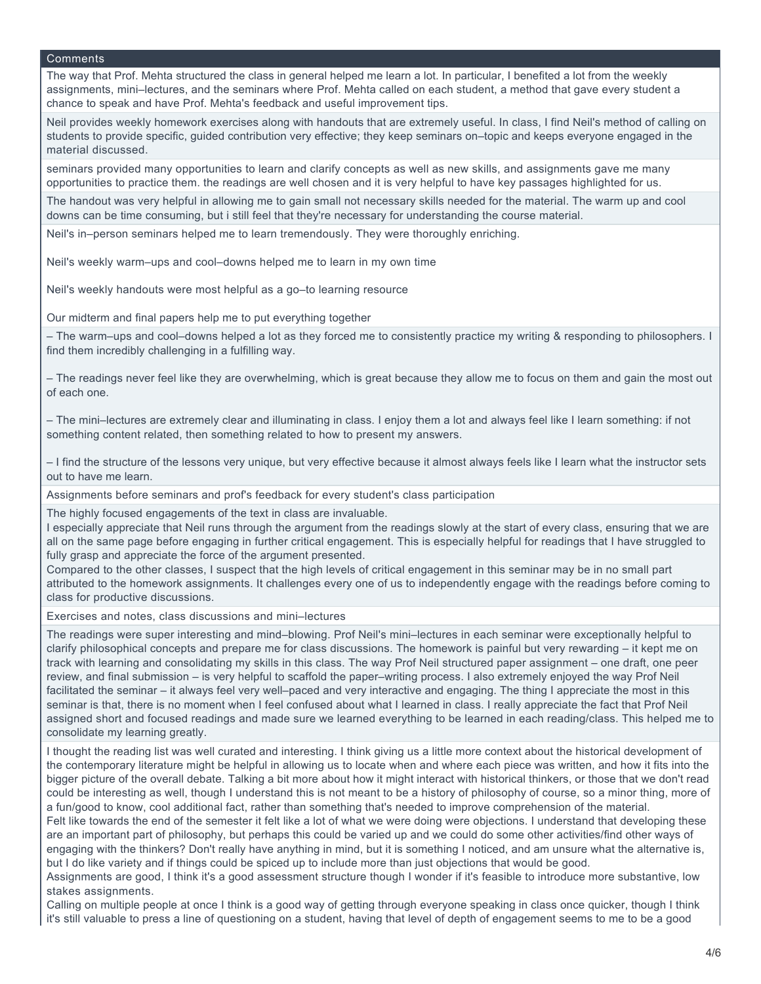The way that Prof. Mehta structured the class in general helped me learn a lot. In particular, I benefited a lot from the weekly assignments, mini–lectures, and the seminars where Prof. Mehta called on each student, a method that gave every student a chance to speak and have Prof. Mehta's feedback and useful improvement tips.

Neil provides weekly homework exercises along with handouts that are extremely useful. In class, I find Neil's method of calling on students to provide specific, guided contribution very effective; they keep seminars on–topic and keeps everyone engaged in the material discussed.

seminars provided many opportunities to learn and clarify concepts as well as new skills, and assignments gave me many opportunities to practice them. the readings are well chosen and it is very helpful to have key passages highlighted for us.

The handout was very helpful in allowing me to gain small not necessary skills needed for the material. The warm up and cool downs can be time consuming, but i still feel that they're necessary for understanding the course material.

Neil's in–person seminars helped me to learn tremendously. They were thoroughly enriching.

Neil's weekly warm–ups and cool–downs helped me to learn in my own time

Neil's weekly handouts were most helpful as a go–to learning resource

Our midterm and final papers help me to put everything together

– The warm–ups and cool–downs helped a lot as they forced me to consistently practice my writing & responding to philosophers. I find them incredibly challenging in a fulfilling way.

– The readings never feel like they are overwhelming, which is great because they allow me to focus on them and gain the most out of each one.

– The mini–lectures are extremely clear and illuminating in class. I enjoy them a lot and always feel like I learn something: if not something content related, then something related to how to present my answers.

– I find the structure of the lessons very unique, but very effective because it almost always feels like I learn what the instructor sets out to have me learn.

Assignments before seminars and prof's feedback for every student's class participation

The highly focused engagements of the text in class are invaluable.

I especially appreciate that Neil runs through the argument from the readings slowly at the start of every class, ensuring that we are all on the same page before engaging in further critical engagement. This is especially helpful for readings that I have struggled to fully grasp and appreciate the force of the argument presented.

Compared to the other classes, I suspect that the high levels of critical engagement in this seminar may be in no small part attributed to the homework assignments. It challenges every one of us to independently engage with the readings before coming to class for productive discussions.

Exercises and notes, class discussions and mini–lectures

The readings were super interesting and mind–blowing. Prof Neil's mini–lectures in each seminar were exceptionally helpful to clarify philosophical concepts and prepare me for class discussions. The homework is painful but very rewarding – it kept me on track with learning and consolidating my skills in this class. The way Prof Neil structured paper assignment – one draft, one peer review, and final submission – is very helpful to scaffold the paper–writing process. I also extremely enjoyed the way Prof Neil facilitated the seminar – it always feel very well–paced and very interactive and engaging. The thing I appreciate the most in this seminar is that, there is no moment when I feel confused about what I learned in class. I really appreciate the fact that Prof Neil assigned short and focused readings and made sure we learned everything to be learned in each reading/class. This helped me to consolidate my learning greatly.

I thought the reading list was well curated and interesting. I think giving us a little more context about the historical development of the contemporary literature might be helpful in allowing us to locate when and where each piece was written, and how it fits into the bigger picture of the overall debate. Talking a bit more about how it might interact with historical thinkers, or those that we don't read could be interesting as well, though I understand this is not meant to be a history of philosophy of course, so a minor thing, more of a fun/good to know, cool additional fact, rather than something that's needed to improve comprehension of the material. Felt like towards the end of the semester it felt like a lot of what we were doing were objections. I understand that developing these are an important part of philosophy, but perhaps this could be varied up and we could do some other activities/find other ways of engaging with the thinkers? Don't really have anything in mind, but it is something I noticed, and am unsure what the alternative is, but I do like variety and if things could be spiced up to include more than just objections that would be good.

Assignments are good, I think it's a good assessment structure though I wonder if it's feasible to introduce more substantive, low stakes assignments.

Calling on multiple people at once I think is a good way of getting through everyone speaking in class once quicker, though I think it's still valuable to press a line of questioning on a student, having that level of depth of engagement seems to me to be a good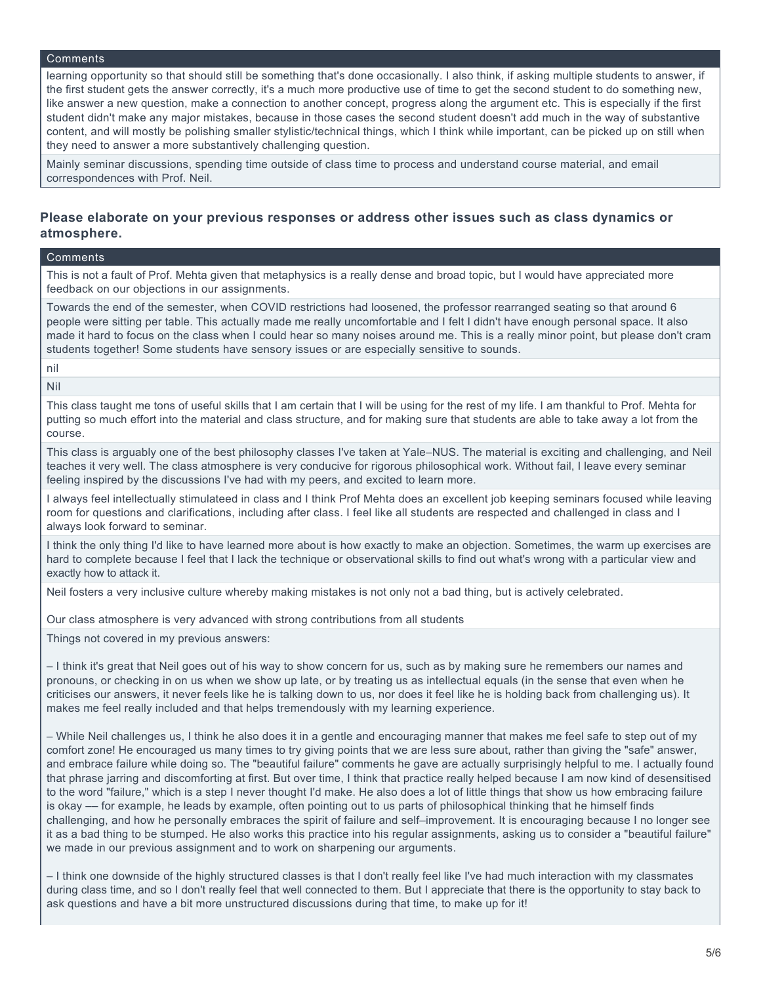learning opportunity so that should still be something that's done occasionally. I also think, if asking multiple students to answer, if the first student gets the answer correctly, it's a much more productive use of time to get the second student to do something new, like answer a new question, make a connection to another concept, progress along the argument etc. This is especially if the first student didn't make any major mistakes, because in those cases the second student doesn't add much in the way of substantive content, and will mostly be polishing smaller stylistic/technical things, which I think while important, can be picked up on still when they need to answer a more substantively challenging question.

Mainly seminar discussions, spending time outside of class time to process and understand course material, and email correspondences with Prof. Neil.

#### **Please elaborate on your previous responses or address other issues such as class dynamics or atmosphere.**

#### Comments

This is not a fault of Prof. Mehta given that metaphysics is a really dense and broad topic, but I would have appreciated more feedback on our objections in our assignments.

Towards the end of the semester, when COVID restrictions had loosened, the professor rearranged seating so that around 6 people were sitting per table. This actually made me really uncomfortable and I felt I didn't have enough personal space. It also made it hard to focus on the class when I could hear so many noises around me. This is a really minor point, but please don't cram students together! Some students have sensory issues or are especially sensitive to sounds.

nil

Nil

This class taught me tons of useful skills that I am certain that I will be using for the rest of my life. I am thankful to Prof. Mehta for putting so much effort into the material and class structure, and for making sure that students are able to take away a lot from the course.

This class is arguably one of the best philosophy classes I've taken at Yale–NUS. The material is exciting and challenging, and Neil teaches it very well. The class atmosphere is very conducive for rigorous philosophical work. Without fail, I leave every seminar feeling inspired by the discussions I've had with my peers, and excited to learn more.

I always feel intellectually stimulateed in class and I think Prof Mehta does an excellent job keeping seminars focused while leaving room for questions and clarifications, including after class. I feel like all students are respected and challenged in class and I always look forward to seminar.

I think the only thing I'd like to have learned more about is how exactly to make an objection. Sometimes, the warm up exercises are hard to complete because I feel that I lack the technique or observational skills to find out what's wrong with a particular view and exactly how to attack it.

Neil fosters a very inclusive culture whereby making mistakes is not only not a bad thing, but is actively celebrated.

Our class atmosphere is very advanced with strong contributions from all students

Things not covered in my previous answers:

– I think it's great that Neil goes out of his way to show concern for us, such as by making sure he remembers our names and pronouns, or checking in on us when we show up late, or by treating us as intellectual equals (in the sense that even when he criticises our answers, it never feels like he is talking down to us, nor does it feel like he is holding back from challenging us). It makes me feel really included and that helps tremendously with my learning experience.

– While Neil challenges us, I think he also does it in a gentle and encouraging manner that makes me feel safe to step out of my comfort zone! He encouraged us many times to try giving points that we are less sure about, rather than giving the "safe" answer, and embrace failure while doing so. The "beautiful failure" comments he gave are actually surprisingly helpful to me. I actually found that phrase jarring and discomforting at first. But over time, I think that practice really helped because I am now kind of desensitised to the word "failure," which is a step I never thought I'd make. He also does a lot of little things that show us how embracing failure is okay –– for example, he leads by example, often pointing out to us parts of philosophical thinking that he himself finds challenging, and how he personally embraces the spirit of failure and self–improvement. It is encouraging because I no longer see it as a bad thing to be stumped. He also works this practice into his regular assignments, asking us to consider a "beautiful failure" we made in our previous assignment and to work on sharpening our arguments.

– I think one downside of the highly structured classes is that I don't really feel like I've had much interaction with my classmates during class time, and so I don't really feel that well connected to them. But I appreciate that there is the opportunity to stay back to ask questions and have a bit more unstructured discussions during that time, to make up for it!